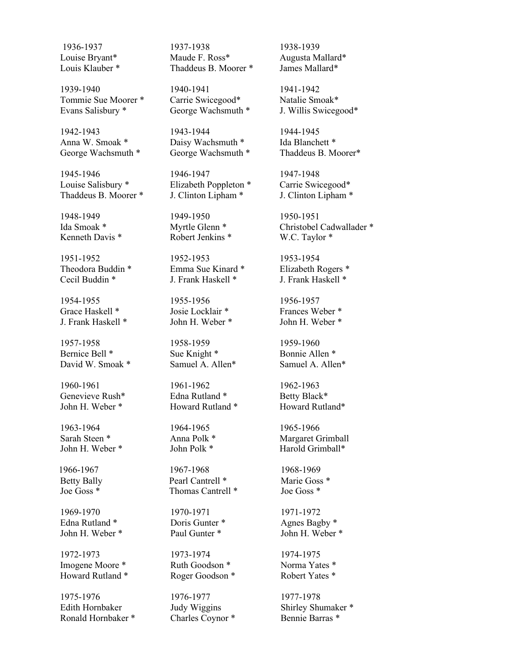Tommie Sue Moorer \* Carrie Swicegood\* Natalie Smoak\* Evans Salisbury \* George Wachsmuth \* J. Willis Swicegood\*

Cecil Buddin \* J. Frank Haskell \* J. Frank Haskell \*

1954-1955 1955-1956 1956-1957 Grace Haskell \* Josie Locklair \* Frances Weber \* J. Frank Haskell \* John H. Weber \* John H. Weber \*

1957-1958 1958-1959 1959-1960 Bernice Bell \* Sue Knight \* Bonnie Allen \* David W. Smoak \* Samuel A. Allen<sup>\*</sup> Samuel A. Allen<sup>\*</sup>

1963-1964 1964-1965 1965-1966

1969-1970 1970-1971 1971-1972 Edna Rutland \* Doris Gunter \* Agnes Bagby \* John H. Weber \* Paul Gunter \* John H. Weber \*

Imogene Moore \* Ruth Goodson \* Norma Yates \* Howard Rutland \* Roger Goodson \* Robert Yates \*

1975-1976 1976-1977 1977-1978 Edith Hornbaker Judy Wiggins Shirley Shumaker \* Ronald Hornbaker \* Charles Coynor \* Bennie Barras \*

1936-1937 1937-1938 1938-1939 Louise Bryant\* Maude F. Ross\* Augusta Mallard\* Louis Klauber \* Thaddeus B. Moorer \* James Mallard \*

1939-1940 1940-1941 1941-1942

1942-1943 1943-1944 1944-1945 Anna W. Smoak \* Daisy Wachsmuth \* Ida Blanchett \*

1945-1946 1946-1947 1947-1948 Louise Salisbury \* Elizabeth Poppleton \* Carrie Swicegood\* Thaddeus B. Moorer \* J. Clinton Lipham \* J. Clinton Lipham \*

1948-1949 1949-1950 1950-1951 Kenneth Davis \* Robert Jenkins \* W.C. Taylor \*

1951-1952 1952-1953 1953-1954 Theodora Buddin \* Emma Sue Kinard \* Elizabeth Rogers \*

1960-1961 1961-1962 1962-1963 Genevieve Rush\* Edna Rutland \* Betty Black\* John H. Weber \* Howard Rutland \* Howard Rutland \*

1966-1967 1967-1968 1968-1969 Betty Bally Pearl Cantrell \* Marie Goss \* Joe Goss \* Thomas Cantrell \* Joe Goss \*

1972-1973 1973-1974 1974-1975

George Wachsmuth \* George Wachsmuth \* Thaddeus B. Moorer\*

Ida Smoak \* Myrtle Glenn \* Christobel Cadwallader \*

Sarah Steen \* Anna Polk \* Margaret Grimball John H. Weber \* John Polk \* Harold Grimball \*